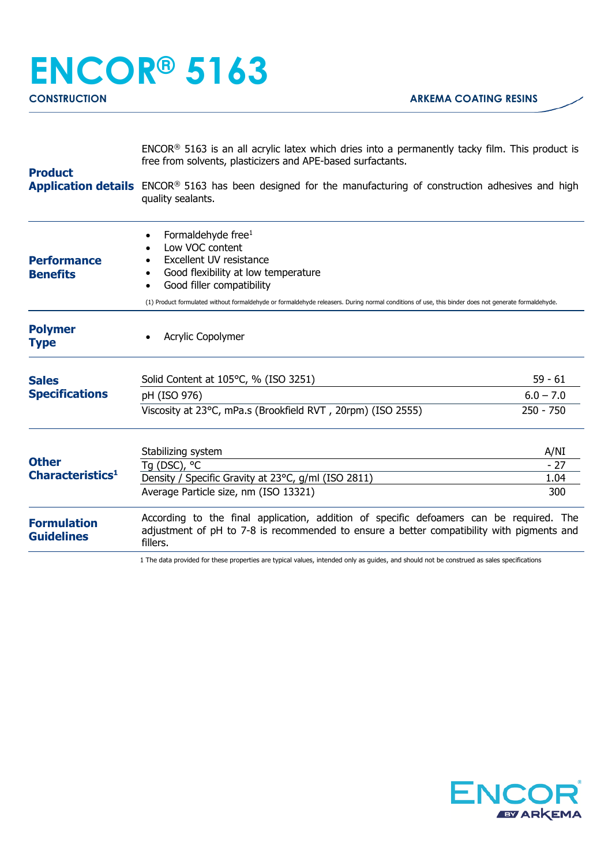## **ENCOR® 5163 CONSTRUCTION ARKEMA COATING RESINS**

| <b>Product</b>                               | $ENCOR®$ 5163 is an all acrylic latex which dries into a permanently tacky film. This product is<br>free from solvents, plasticizers and APE-based surfactants.<br>Application details ENCOR® 5163 has been designed for the manufacturing of construction adhesives and high<br>quality sealants.      |                                         |
|----------------------------------------------|---------------------------------------------------------------------------------------------------------------------------------------------------------------------------------------------------------------------------------------------------------------------------------------------------------|-----------------------------------------|
| <b>Performance</b><br><b>Benefits</b>        | Formaldehyde free <sup>1</sup><br>Low VOC content<br>Excellent UV resistance<br>Good flexibility at low temperature<br>Good filler compatibility<br>(1) Product formulated without formaldehyde or formaldehyde releasers. During normal conditions of use, this binder does not generate formaldehyde. |                                         |
| <b>Polymer</b><br><b>Type</b>                | <b>Acrylic Copolymer</b>                                                                                                                                                                                                                                                                                |                                         |
| <b>Sales</b><br><b>Specifications</b>        | Solid Content at 105°C, % (ISO 3251)<br>pH (ISO 976)<br>Viscosity at 23°C, mPa.s (Brookfield RVT, 20rpm) (ISO 2555)                                                                                                                                                                                     | $59 - 61$<br>$6.0 - 7.0$<br>$250 - 750$ |
| <b>Other</b><br>Characteristics <sup>1</sup> | Stabilizing system<br>Tq (DSC), $^{\circ}$ C<br>Density / Specific Gravity at 23°C, g/ml (ISO 2811)<br>Average Particle size, nm (ISO 13321)                                                                                                                                                            | A/NI<br>$-27$<br>1.04<br>300            |
| <b>Formulation</b><br><b>Guidelines</b>      | According to the final application, addition of specific defoamers can be required. The<br>adjustment of pH to 7-8 is recommended to ensure a better compatibility with pigments and<br>fillers.                                                                                                        |                                         |

1 The data provided for these properties are typical values, intended only as guides, and should not be construed as sales specifications